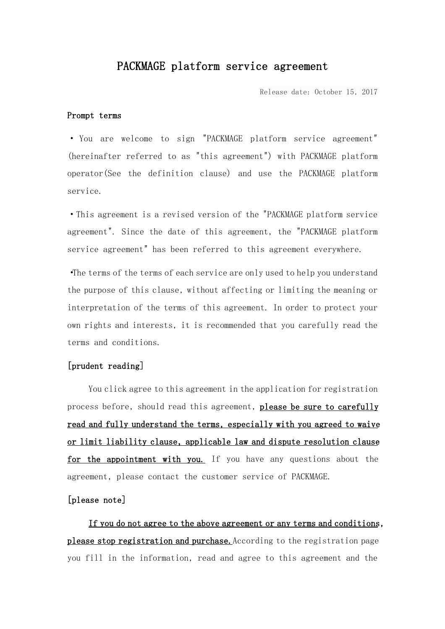# PACKMAGE platform service agreement

Release date: October 15, 2017

#### Prompt terms

· You are welcome to sign "PACKMAGE platform service agreement" (hereinafter referred to as "this agreement") with PACKMAGE platform operator(See the definition clause) and use the PACKMAGE platform service.

·This agreement is a revised version of the "PACKMAGE platform service agreement". Since the date of this agreement, the "PACKMAGE platform service agreement" has been referred to this agreement everywhere.

·The terms of the terms of each service are only used to help you understand the purpose of this clause, without affecting or limiting the meaning or interpretation of the terms of this agreement. In order to protect your own rights and interests, it is recommended that you carefully read the terms and conditions.

# [prudent reading]

You click agree to this agreement in the application for registration process before, should read this agreement, please be sure to carefully read and fully understand the terms, especially with you agreed to waive or limit liability clause, applicable law and dispute resolution clause for the appointment with you. If you have any questions about the agreement, please contact the customer service of PACKMAGE.

# [please note]

If you do not agree to the above agreement or any terms and conditions, please stop registration and purchase. According to the registration page you fill in the information, read and agree to this agreement and the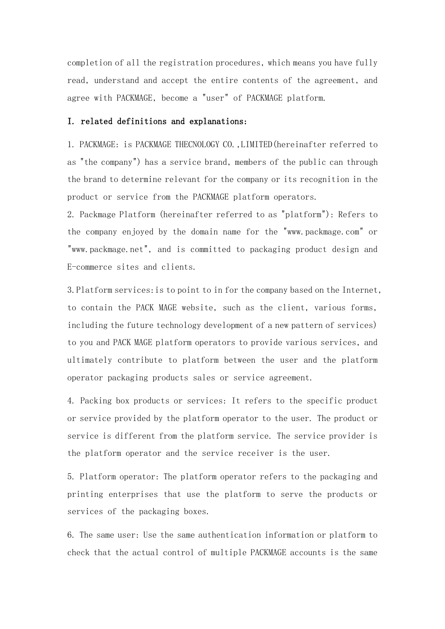completion of all the registration procedures, which means you have fully read, understand and accept the entire contents of the agreement, and agree with PACKMAGE, become a "user" of PACKMAGE platform.

#### I. related definitions and explanations:

1. PACKMAGE: is PACKMAGE THECNOLOGY CO.,LIMITED(hereinafter referred to as "the company") has a service brand, members of the public can through the brand to determine relevant for the company or its recognition in the product or service from the PACKMAGE platform operators.

2. Packmage Platform (hereinafter referred to as "platform"): Refers to the company enjoyed by the domain name for the "www.packmage.com" or "www.packmage.net", and is committed to packaging product design and E-commerce sites and clients.

3.Platform services:is to point to in for the company based on the Internet, to contain the PACK MAGE website, such as the client, various forms, including the future technology development of a new pattern of services) to you and PACK MAGE platform operators to provide various services, and ultimately contribute to platform between the user and the platform operator packaging products sales or service agreement.

4. Packing box products or services: It refers to the specific product or service provided by the platform operator to the user. The product or service is different from the platform service. The service provider is the platform operator and the service receiver is the user.

5. Platform operator: The platform operator refers to the packaging and printing enterprises that use the platform to serve the products or services of the packaging boxes.

6. The same user: Use the same authentication information or platform to check that the actual control of multiple PACKMAGE accounts is the same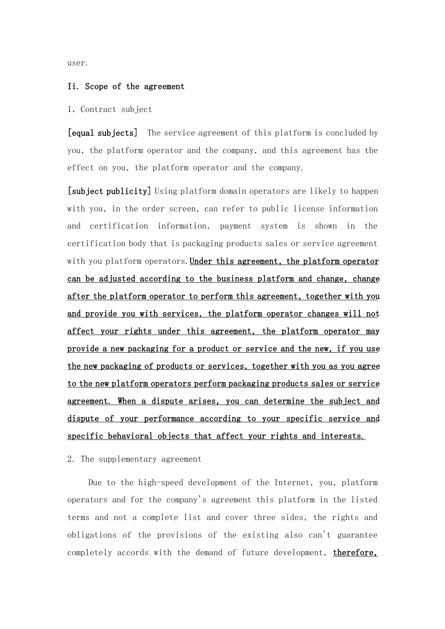user.

#### Ii. Scope of the agreement

#### 1.Contract subject

[equal subjects] The service agreement of this platform is concluded by you, the platform operator and the company, and this agreement has the effect on you, the platform operator and the company.

[subject publicity] Using platform domain operators are likely to happen with you, in the order screen, can refer to public license information and certification information, payment system is shown in the certification body that is packaging products sales or service agreement with you platform operators. Under this agreement, the platform operator can be adjusted according to the business platform and change, change after the platform operator to perform this agreement, together with you and provide you with services, the platform operator changes will not affect your rights under this agreement, the platform operator may provide a new packaging for a product or service and the new, if you use the new packaging of products or services, together with you as you agree to the new platform operators perform packaging products sales or service agreement. When a dispute arises, you can determine the subject and dispute of your performance according to your specific service and specific behavioral objects that affect your rights and interests.

2. The supplementary agreement

Due to the high-speed development of the Internet, you, platform operators and for the company's agreement this platform in the listed terms and not a complete list and cover three sides, the rights and obligations of the provisions of the existing also can't guarantee completely accords with the demand of future development, therefore,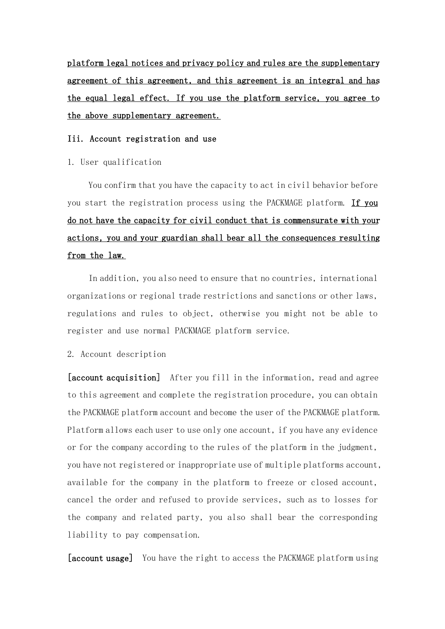platform legal notices and privacy policy and rules are the supplementary agreement of this agreement, and this agreement is an integral and has the equal legal effect. If you use the platform service, you agree to the above supplementary agreement.

# Iii. Account registration and use

1. User qualification

You confirm that you have the capacity to act in civil behavior before you start the registration process using the PACKMAGE platform. If you do not have the capacity for civil conduct that is commensurate with your actions, you and your guardian shall bear all the consequences resulting from the law.

In addition, you also need to ensure that no countries, international organizations or regional trade restrictions and sanctions or other laws, regulations and rules to object, otherwise you might not be able to register and use normal PACKMAGE platform service.

2. Account description

[account acquisition] After you fill in the information, read and agree to this agreement and complete the registration procedure, you can obtain the PACKMAGE platform account and become the user of the PACKMAGE platform. Platform allows each user to use only one account, if you have any evidence or for the company according to the rules of the platform in the judgment, you have not registered or inappropriate use of multiple platforms account, available for the company in the platform to freeze or closed account, cancel the order and refused to provide services, such as to losses for the company and related party, you also shall bear the corresponding liability to pay compensation.

[account usage] You have the right to access the PACKMAGE platform using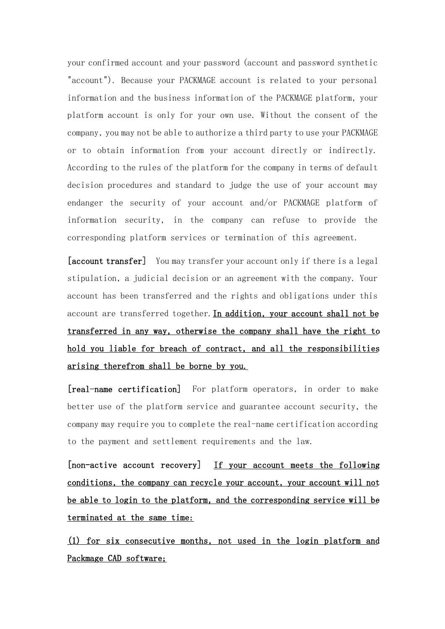your confirmed account and your password (account and password synthetic "account"). Because your PACKMAGE account is related to your personal information and the business information of the PACKMAGE platform, your platform account is only for your own use. Without the consent of the company, you may not be able to authorize a third party to use your PACKMAGE or to obtain information from your account directly or indirectly. According to the rules of the platform for the company in terms of default decision procedures and standard to judge the use of your account may endanger the security of your account and/or PACKMAGE platform of information security, in the company can refuse to provide the corresponding platform services or termination of this agreement.

[account transfer] You may transfer your account only if there is a legal stipulation, a judicial decision or an agreement with the company. Your account has been transferred and the rights and obligations under this account are transferred together. In addition, your account shall not be transferred in any way, otherwise the company shall have the right to hold you liable for breach of contract, and all the responsibilities arising therefrom shall be borne by you.

[real-name certification] For platform operators, in order to make better use of the platform service and guarantee account security, the company may require you to complete the real-name certification according to the payment and settlement requirements and the law.

[non-active account recovery] If your account meets the following conditions, the company can recycle your account, your account will not be able to login to the platform, and the corresponding service will be terminated at the same time:

(1) for six consecutive months, not used in the login platform and Packmage CAD software;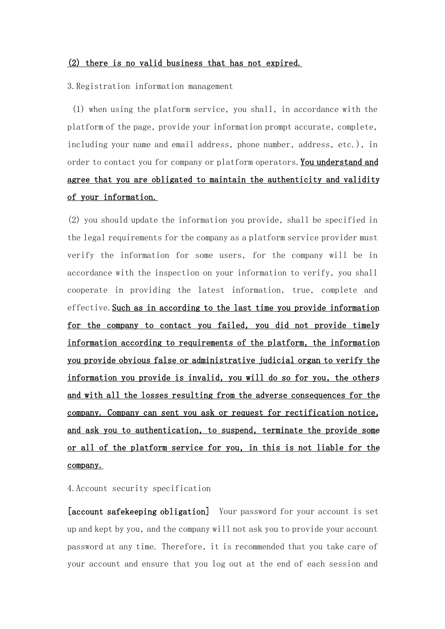### (2) there is no valid business that has not expired.

3.Registration information management

(1) when using the platform service, you shall, in accordance with the platform of the page, provide your information prompt accurate, complete, including your name and email address, phone number, address, etc.), in order to contact you for company or platform operators. You understand and agree that you are obligated to maintain the authenticity and validity of your information.

(2) you should update the information you provide, shall be specified in the legal requirements for the company as a platform service provider must verify the information for some users, for the company will be in accordance with the inspection on your information to verify, you shall cooperate in providing the latest information, true, complete and effective.Such as in according to the last time you provide information for the company to contact you failed, you did not provide timely information according to requirements of the platform, the information you provide obvious false or administrative judicial organ to verify the information you provide is invalid, you will do so for you, the others and with all the losses resulting from the adverse consequences for the company. Company can sent you ask or request for rectification notice, and ask you to authentication, to suspend, terminate the provide some or all of the platform service for you, in this is not liable for the company.

#### 4.Account security specification

[account safekeeping obligation] Your password for your account is set up and kept by you, and the company will not ask you to provide your account password at any time. Therefore, it is recommended that you take care of your account and ensure that you log out at the end of each session and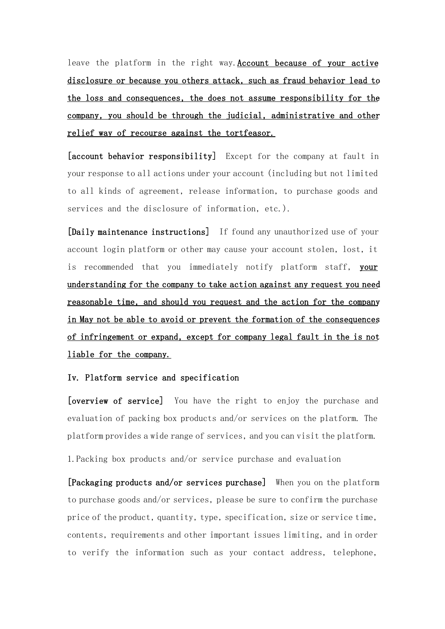leave the platform in the right way.Account because of your active disclosure or because you others attack, such as fraud behavior lead to the loss and consequences, the does not assume responsibility for the company, you should be through the judicial, administrative and other relief way of recourse against the tortfeasor.

[account behavior responsibility] Except for the company at fault in your response to all actions under your account (including but not limited to all kinds of agreement, release information, to purchase goods and services and the disclosure of information, etc.).

[Daily maintenance instructions] If found any unauthorized use of your account login platform or other may cause your account stolen, lost, it is recommended that you immediately notify platform staff, your understanding for the company to take action against any request you need reasonable time, and should you request and the action for the company in May not be able to avoid or prevent the formation of the consequences of infringement or expand, except for company legal fault in the is not liable for the company.

## Iv. Platform service and specification

[overview of service] You have the right to enjoy the purchase and evaluation of packing box products and/or services on the platform. The platform provides a wide range of services, and you can visit the platform.

1.Packing box products and/or service purchase and evaluation

[Packaging products and/or services purchase] When you on the platform to purchase goods and/or services, please be sure to confirm the purchase price of the product, quantity, type, specification, size or service time, contents, requirements and other important issues limiting, and in order to verify the information such as your contact address, telephone,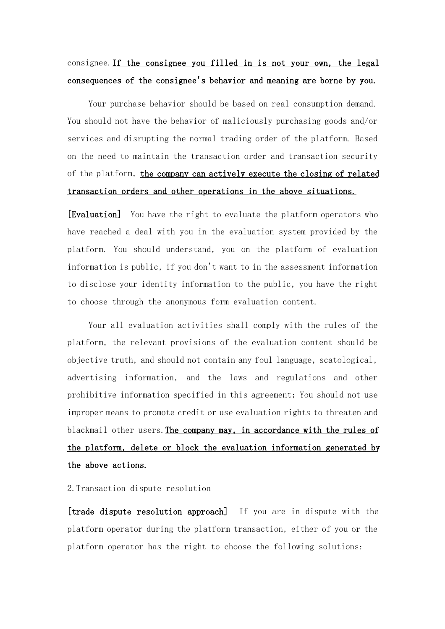# consignee.If the consignee you filled in is not your own, the legal consequences of the consignee's behavior and meaning are borne by you.

Your purchase behavior should be based on real consumption demand. You should not have the behavior of maliciously purchasing goods and/or services and disrupting the normal trading order of the platform. Based on the need to maintain the transaction order and transaction security of the platform, the company can actively execute the closing of related transaction orders and other operations in the above situations.

[Evaluation] You have the right to evaluate the platform operators who have reached a deal with you in the evaluation system provided by the platform. You should understand, you on the platform of evaluation information is public, if you don't want to in the assessment information to disclose your identity information to the public, you have the right to choose through the anonymous form evaluation content.

Your all evaluation activities shall comply with the rules of the platform, the relevant provisions of the evaluation content should be objective truth, and should not contain any foul language, scatological, advertising information, and the laws and regulations and other prohibitive information specified in this agreement; You should not use improper means to promote credit or use evaluation rights to threaten and blackmail other users. The company may, in accordance with the rules of the platform, delete or block the evaluation information generated by the above actions.

2.Transaction dispute resolution

[trade dispute resolution approach] If you are in dispute with the platform operator during the platform transaction, either of you or the platform operator has the right to choose the following solutions: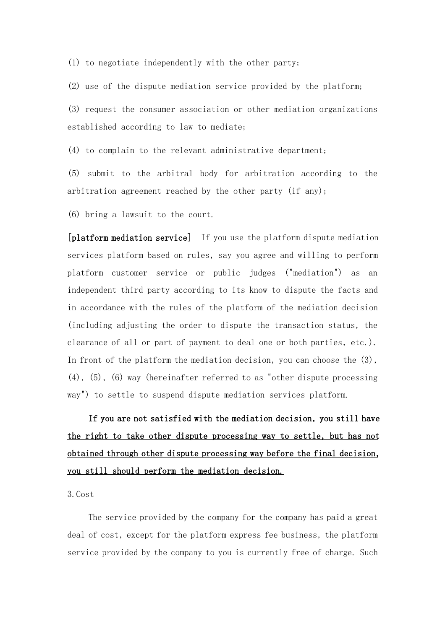(1) to negotiate independently with the other party;

(2) use of the dispute mediation service provided by the platform;

(3) request the consumer association or other mediation organizations established according to law to mediate;

(4) to complain to the relevant administrative department;

(5) submit to the arbitral body for arbitration according to the arbitration agreement reached by the other party (if any);

(6) bring a lawsuit to the court.

[platform mediation service] If you use the platform dispute mediation services platform based on rules, say you agree and willing to perform platform customer service or public judges ("mediation") as an independent third party according to its know to dispute the facts and in accordance with the rules of the platform of the mediation decision (including adjusting the order to dispute the transaction status, the clearance of all or part of payment to deal one or both parties, etc.). In front of the platform the mediation decision, you can choose the (3), (4), (5), (6) way (hereinafter referred to as "other dispute processing way") to settle to suspend dispute mediation services platform.

If you are not satisfied with the mediation decision, you still have the right to take other dispute processing way to settle, but has not obtained through other dispute processing way before the final decision, you still should perform the mediation decision.

3.Cost

The service provided by the company for the company has paid a great deal of cost, except for the platform express fee business, the platform service provided by the company to you is currently free of charge. Such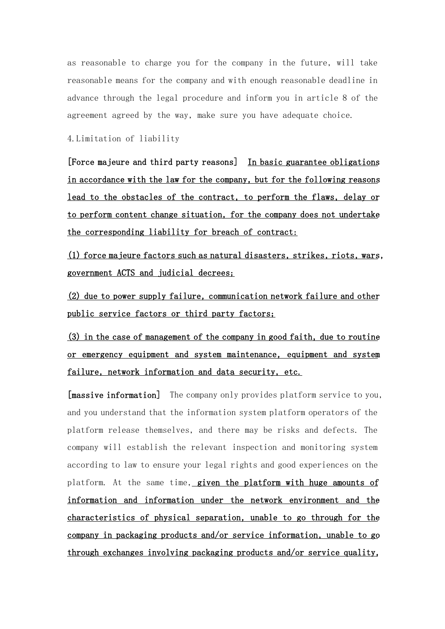as reasonable to charge you for the company in the future, will take reasonable means for the company and with enough reasonable deadline in advance through the legal procedure and inform you in article 8 of the agreement agreed by the way, make sure you have adequate choice.

4.Limitation of liability

[Force majeure and third party reasons] In basic guarantee obligations in accordance with the law for the company, but for the following reasons lead to the obstacles of the contract, to perform the flaws, delay or to perform content change situation, for the company does not undertake the corresponding liability for breach of contract:

(1) force majeure factors such as natural disasters, strikes, riots, wars, government ACTS and judicial decrees;

(2) due to power supply failure, communication network failure and other public service factors or third party factors;

(3) in the case of management of the company in good faith, due to routine or emergency equipment and system maintenance, equipment and system failure, network information and data security, etc.

[massive information] The company only provides platform service to you, and you understand that the information system platform operators of the platform release themselves, and there may be risks and defects. The company will establish the relevant inspection and monitoring system according to law to ensure your legal rights and good experiences on the platform. At the same time, given the platform with huge amounts of information and information under the network environment and the characteristics of physical separation, unable to go through for the company in packaging products and/or service information, unable to go through exchanges involving packaging products and/or service quality,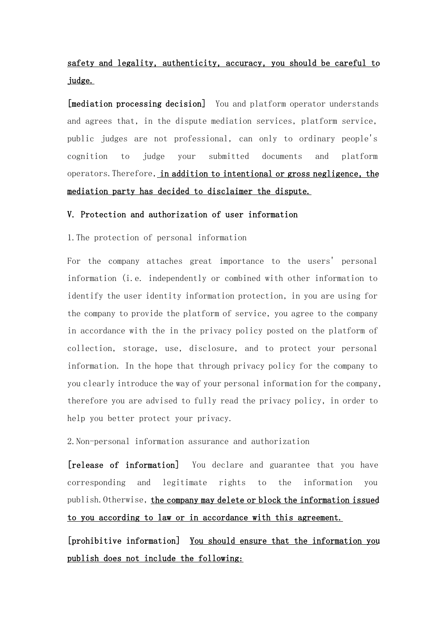# safety and legality, authenticity, accuracy, you should be careful to judge.

[mediation processing decision] You and platform operator understands and agrees that, in the dispute mediation services, platform service, public judges are not professional, can only to ordinary people's cognition to judge your submitted documents and platform operators.Therefore, in addition to intentional or gross negligence, the mediation party has decided to disclaimer the dispute.

## V. Protection and authorization of user information

1.The protection of personal information

For the company attaches great importance to the users' personal information (i.e. independently or combined with other information to identify the user identity information protection, in you are using for the company to provide the platform of service, you agree to the company in accordance with the in the privacy policy posted on the platform of collection, storage, use, disclosure, and to protect your personal information. In the hope that through privacy policy for the company to you clearly introduce the way of your personal information for the company, therefore you are advised to fully read the privacy policy, in order to help you better protect your privacy.

2.Non-personal information assurance and authorization

[release of information] You declare and guarantee that you have corresponding and legitimate rights to the information you publish. Otherwise, the company may delete or block the information issued to you according to law or in accordance with this agreement.

[prohibitive information] You should ensure that the information you publish does not include the following: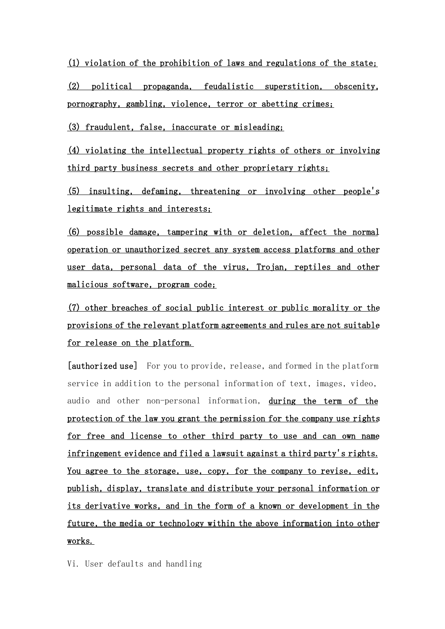(1) violation of the prohibition of laws and regulations of the state;

(2) political propaganda, feudalistic superstition, obscenity, pornography, gambling, violence, terror or abetting crimes;

(3) fraudulent, false, inaccurate or misleading;

(4) violating the intellectual property rights of others or involving third party business secrets and other proprietary rights;

(5) insulting, defaming, threatening or involving other people's legitimate rights and interests;

(6) possible damage, tampering with or deletion, affect the normal operation or unauthorized secret any system access platforms and other user data, personal data of the virus, Trojan, reptiles and other malicious software, program code;

(7) other breaches of social public interest or public morality or the provisions of the relevant platform agreements and rules are not suitable for release on the platform.

[authorized use] For you to provide, release, and formed in the platform service in addition to the personal information of text, images, video, audio and other non-personal information, during the term of the protection of the law you grant the permission for the company use rights for free and license to other third party to use and can own name infringement evidence and filed a lawsuit against a third party's rights. You agree to the storage, use, copy, for the company to revise, edit, publish, display, translate and distribute your personal information or its derivative works, and in the form of a known or development in the future, the media or technology within the above information into other works.

Vi. User defaults and handling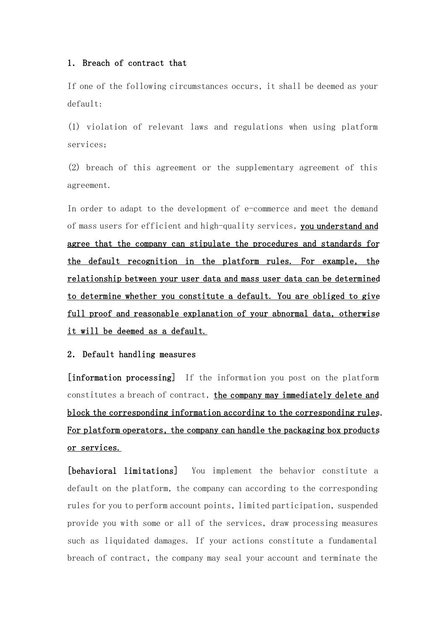# 1. Breach of contract that

If one of the following circumstances occurs, it shall be deemed as your default:

(1) violation of relevant laws and regulations when using platform services;

(2) breach of this agreement or the supplementary agreement of this agreement.

In order to adapt to the development of e-commerce and meet the demand of mass users for efficient and high-quality services, you understand and agree that the company can stipulate the procedures and standards for the default recognition in the platform rules. For example, the relationship between your user data and mass user data can be determined to determine whether you constitute a default. You are obliged to give full proof and reasonable explanation of your abnormal data, otherwise it will be deemed as a default.

## 2. Default handling measures

[information processing] If the information you post on the platform constitutes a breach of contract, the company may immediately delete and block the corresponding information according to the corresponding rules. For platform operators, the company can handle the packaging box products or services.

[behavioral limitations] You implement the behavior constitute a default on the platform, the company can according to the corresponding rules for you to perform account points, limited participation, suspended provide you with some or all of the services, draw processing measures such as liquidated damages. If your actions constitute a fundamental breach of contract, the company may seal your account and terminate the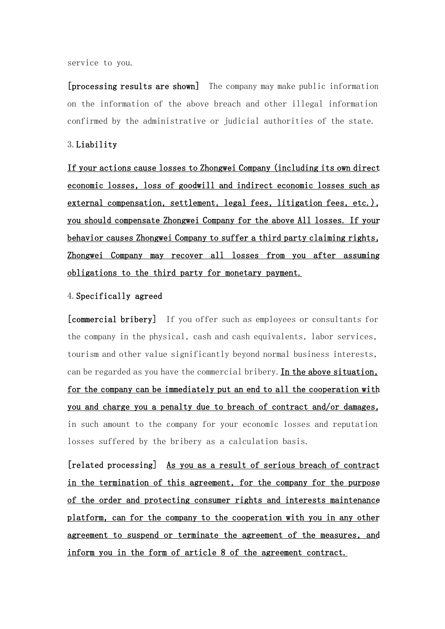service to you.

[processing results are shown] The company may make public information on the information of the above breach and other illegal information confirmed by the administrative or judicial authorities of the state.

## 3.Liability

If your actions cause losses to Zhongwei Company (including its own direct economic losses, loss of goodwill and indirect economic losses such as external compensation, settlement, legal fees, litigation fees, etc.), you should compensate Zhongwei Company for the above All losses. If your behavior causes Zhongwei Company to suffer a third party claiming rights, Zhongwei Company may recover all losses from you after assuming obligations to the third party for monetary payment.

#### 4.Specifically agreed

[commercial bribery] If you offer such as employees or consultants for the company in the physical, cash and cash equivalents, labor services, tourism and other value significantly beyond normal business interests, can be regarded as you have the commercial bribery.In the above situation, for the company can be immediately put an end to all the cooperation with you and charge you a penalty due to breach of contract and/or damages, in such amount to the company for your economic losses and reputation losses suffered by the bribery as a calculation basis.

[related processing] As you as a result of serious breach of contract in the termination of this agreement, for the company for the purpose of the order and protecting consumer rights and interests maintenance platform, can for the company to the cooperation with you in any other agreement to suspend or terminate the agreement of the measures, and inform you in the form of article 8 of the agreement contract.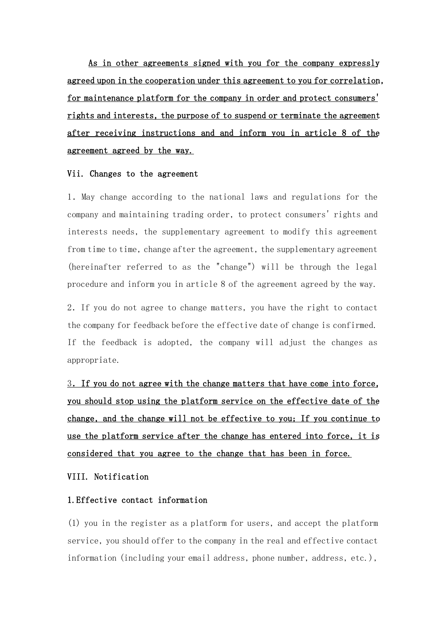As in other agreements signed with you for the company expressly agreed upon in the cooperation under this agreement to you for correlation, for maintenance platform for the company in order and protect consumers' rights and interests, the purpose of to suspend or terminate the agreement after receiving instructions and and inform you in article 8 of the agreement agreed by the way.

#### Vii. Changes to the agreement

1.May change according to the national laws and regulations for the company and maintaining trading order, to protect consumers' rights and interests needs, the supplementary agreement to modify this agreement from time to time, change after the agreement, the supplementary agreement (hereinafter referred to as the "change") will be through the legal procedure and inform you in article 8 of the agreement agreed by the way.

2.If you do not agree to change matters, you have the right to contact the company for feedback before the effective date of change is confirmed. If the feedback is adopted, the company will adjust the changes as appropriate.

3.If you do not agree with the change matters that have come into force, you should stop using the platform service on the effective date of the change, and the change will not be effective to you; If you continue to use the platform service after the change has entered into force, it is considered that you agree to the change that has been in force.

VIII. Notification

# 1.Effective contact information

(1) you in the register as a platform for users, and accept the platform service, you should offer to the company in the real and effective contact information (including your email address, phone number, address, etc.),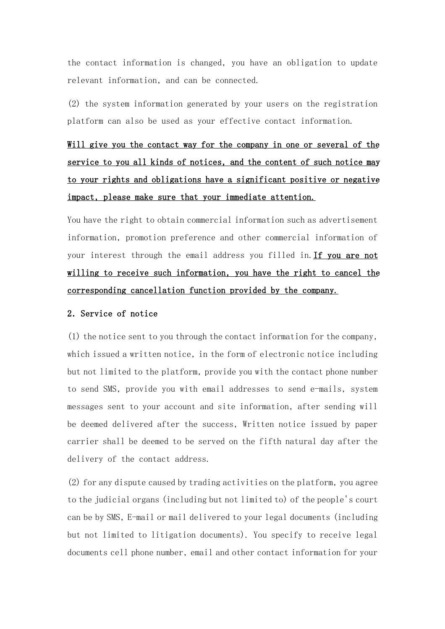the contact information is changed, you have an obligation to update relevant information, and can be connected.

(2) the system information generated by your users on the registration platform can also be used as your effective contact information.

# Will give you the contact way for the company in one or several of the service to you all kinds of notices, and the content of such notice may to your rights and obligations have a significant positive or negative impact, please make sure that your immediate attention.

You have the right to obtain commercial information such as advertisement information, promotion preference and other commercial information of your interest through the email address you filled in.If you are not willing to receive such information, you have the right to cancel the corresponding cancellation function provided by the company.

# 2.Service of notice

(1) the notice sent to you through the contact information for the company, which issued a written notice, in the form of electronic notice including but not limited to the platform, provide you with the contact phone number to send SMS, provide you with email addresses to send e-mails, system messages sent to your account and site information, after sending will be deemed delivered after the success, Written notice issued by paper carrier shall be deemed to be served on the fifth natural day after the delivery of the contact address.

(2) for any dispute caused by trading activities on the platform, you agree to the judicial organs (including but not limited to) of the people's court can be by SMS, E-mail or mail delivered to your legal documents (including but not limited to litigation documents). You specify to receive legal documents cell phone number, email and other contact information for your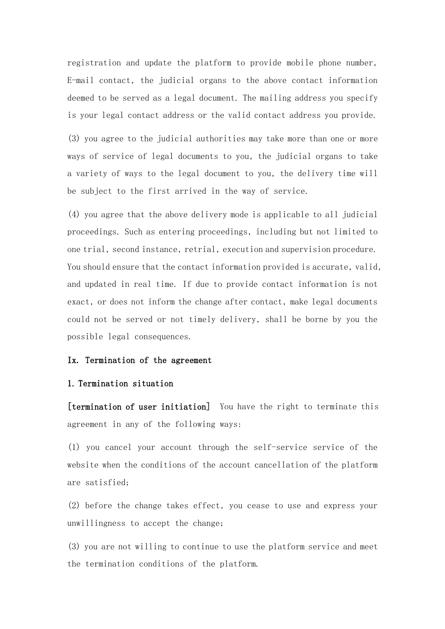registration and update the platform to provide mobile phone number, E-mail contact, the judicial organs to the above contact information deemed to be served as a legal document. The mailing address you specify is your legal contact address or the valid contact address you provide.

(3) you agree to the judicial authorities may take more than one or more ways of service of legal documents to you, the judicial organs to take a variety of ways to the legal document to you, the delivery time will be subject to the first arrived in the way of service.

(4) you agree that the above delivery mode is applicable to all judicial proceedings. Such as entering proceedings, including but not limited to one trial, second instance, retrial, execution and supervision procedure. You should ensure that the contact information provided is accurate, valid, and updated in real time. If due to provide contact information is not exact, or does not inform the change after contact, make legal documents could not be served or not timely delivery, shall be borne by you the possible legal consequences.

#### Ix. Termination of the agreement

## 1. Termination situation

[termination of user initiation] You have the right to terminate this agreement in any of the following ways:

(1) you cancel your account through the self-service service of the website when the conditions of the account cancellation of the platform are satisfied;

(2) before the change takes effect, you cease to use and express your unwillingness to accept the change;

(3) you are not willing to continue to use the platform service and meet the termination conditions of the platform.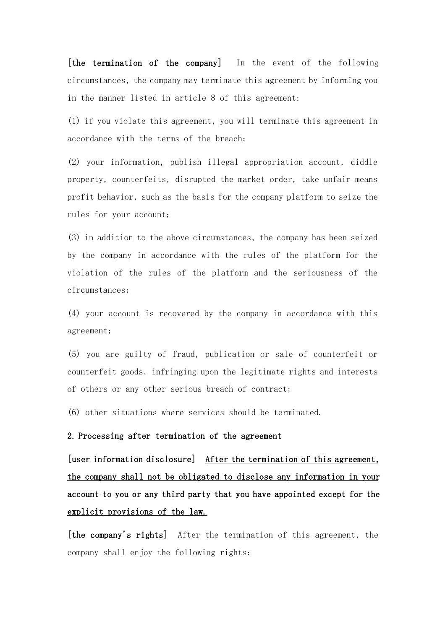[the termination of the company] In the event of the following circumstances, the company may terminate this agreement by informing you in the manner listed in article 8 of this agreement:

(1) if you violate this agreement, you will terminate this agreement in accordance with the terms of the breach;

(2) your information, publish illegal appropriation account, diddle property, counterfeits, disrupted the market order, take unfair means profit behavior, such as the basis for the company platform to seize the rules for your account;

(3) in addition to the above circumstances, the company has been seized by the company in accordance with the rules of the platform for the violation of the rules of the platform and the seriousness of the circumstances;

(4) your account is recovered by the company in accordance with this agreement;

(5) you are guilty of fraud, publication or sale of counterfeit or counterfeit goods, infringing upon the legitimate rights and interests of others or any other serious breach of contract;

(6) other situations where services should be terminated.

#### 2. Processing after termination of the agreement

[user information disclosure] After the termination of this agreement, the company shall not be obligated to disclose any information in your account to you or any third party that you have appointed except for the explicit provisions of the law.

[the company's rights] After the termination of this agreement, the company shall enjoy the following rights: